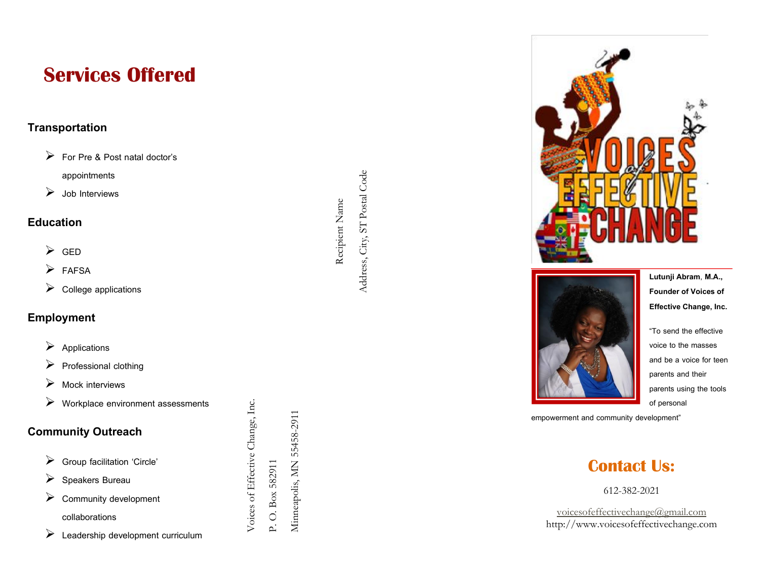# **Services Offered**

### **Transportation**

- For Pre & Post natal doctor's appointments
- $\triangleright$  Job Interviews

### **Education**

- > GED
- $\triangleright$  FAFSA
- $\triangleright$  College applications

### **Employment**

- $\triangleright$  Applications
- $\triangleright$  Professional clothing
- $\triangleright$  Mock interviews
- Workplace environment assessments

Voices of Effective Change, Inc.

P. O. Box 582911

Minneapolis, MN 55458-2911

### **Community Outreach**

- $\triangleright$  Group facilitation 'Circle'
- $\triangleright$  Speakers Bureau
- $\triangleright$  Community development collaborations **Education**<br>  $\triangleright$  GED<br>  $\triangleright$  FAFSA<br>  $\triangleright$  College applications<br> **Employment**<br>  $\triangleright$  Professional clothing<br>  $\triangleright$  Mock interviews<br>  $\triangleright$  Workplace environment assessments<br>  $\triangleright$  Workplace environment assessments<br>
	- $\triangleright$  Leadership development curriculum

Address, City, ST Postal Code

Address, City, ST Postal Code





**Lutunji Abram**, **M.A., Founder of Voices of Effective Change, Inc.**

"To send the effective voice to the masses and be a voice for teen parents and their parents using the tools of personal

empowerment and community development"

## **Contact Us:**

612 -382 -2021

[voicesofeffectivechange@gmail.com](mailto:voicesofeffectivechange@gmail.com) http://www.voicesofeffectivechange.com